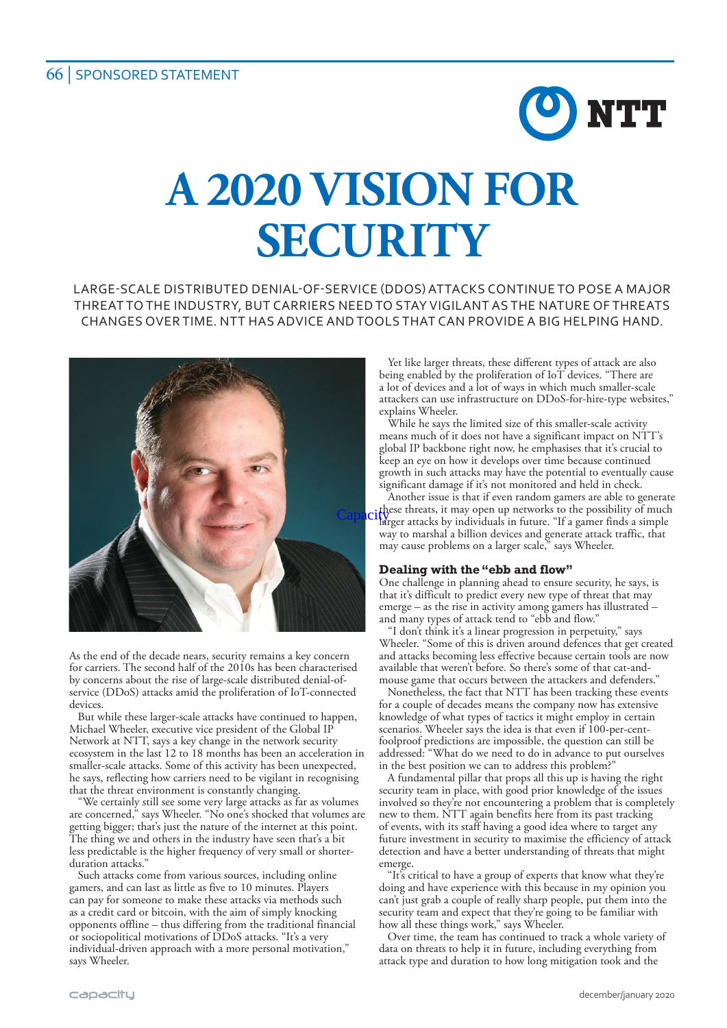# **A 2020 VISION FOR SECURITY**

LARGE-SCALE DISTRIBUTED DENIAL-OF-SERVICE (DDOS) ATTACKS CONTINUE TO POSE A MAJOR THREAT TO THE INDUSTRY, BUT CARRIERS NEED TO STAY VIGILANT AS THE NATURE OF THREATS CHANGES OVER TIME. NTT HAS ADVICE AND TOOLS THAT CAN PROVIDE A BIG HELPING HAND.



As the end of the decade nears, security remains a key concern for carriers. The second half of the 2010s has been characterised by concerns about the rise of large-scale distributed denial-ofservice (DDoS) attacks amid the proliferation of IoT-connected devices

But while these larger-scale attacks have continued to happen, Michael Wheeler, executive vice president of the Global IP Network at NTT, says a key change in the network security ecosystem in the last 12 to 18 months has been an acceleration in smaller-scale attacks. Some of this activity has been unexpected, he says, reflecting how carriers need to be vigilant in recognising that the threat environment is constantly changing.

"We certainly still see some very large attacks as far as volumes are concerned," says Wheeler. "No one's shocked that volumes are getting bigger; that's just the nature of the internet at this point. The thing we and others in the industry have seen that's a bit less predictable is the higher frequency of very small or shorterduration attacks."

Such attacks come from various sources, including online gamers, and can last as little as five to 10 minutes. Players can pay for someone to make these attacks via methods such as a credit card or bitcoin, with the aim of simply knocking opponents offline – thus differing from the traditional financial or sociopolitical motivations of DDoS attacks. "It's a very individual-driven approach with a more personal motivation," says Wheeler.

Yet like larger threats, these different types of attack are also being enabled by the proliferation of IoT devices. "There are a lot of devices and a lot of ways in which much smaller-scale attackers can use infrastructure on DDoS-for-hire-type websites," explains Wheeler.

O NTT

While he says the limited size of this smaller-scale activity means much of it does not have a significant impact on NTT's global IP backbone right now, he emphasises that it's crucial to keep an eye on how it develops over time because continued growth in such attacks may have the potential to eventually cause significant damage if it's not monitored and held in check.

Another issue is that if even random gamers are able to generate these threats, it may open up networks to the possibility of much Capaciffese threats, it may open up networks to the possibility of much<br>capacity are tracks by individuals in future. "If a gamer finds a simple way to marshal a billion devices and generate attack traffic, that may cause problems on a larger scale," says Wheeler.

#### **Dealing with the "ebb and flow"**

One challenge in planning ahead to ensure security, he says, is that it's difficult to predict every new type of threat that may emerge – as the rise in activity among gamers has illustrated – and many types of attack tend to "ebb and flow."

"I don't think it's a linear progression in perpetuity," says Wheeler. "Some of this is driven around defences that get created and attacks becoming less effective because certain tools are now available that weren't before. So there's some of that cat-andmouse game that occurs between the attackers and defenders."

Nonetheless, the fact that NTT has been tracking these events for a couple of decades means the company now has extensive knowledge of what types of tactics it might employ in certain scenarios. Wheeler says the idea is that even if 100-per-centfoolproof predictions are impossible, the question can still be addressed: "What do we need to do in advance to put ourselves in the best position we can to address this problem?"

A fundamental pillar that props all this up is having the right security team in place, with good prior knowledge of the issues involved so they're not encountering a problem that is completely new to them. NTT again benefits here from its past tracking of events, with its staff having a good idea where to target any future investment in security to maximise the efficiency of attack detection and have a better understanding of threats that might emerge.

"It's critical to have a group of experts that know what they're doing and have experience with this because in my opinion you can't just grab a couple of really sharp people, put them into the security team and expect that they're going to be familiar with how all these things work," says Wheeler.

Over time, the team has continued to track a whole variety of data on threats to help it in future, including everything from attack type and duration to how long mitigation took and the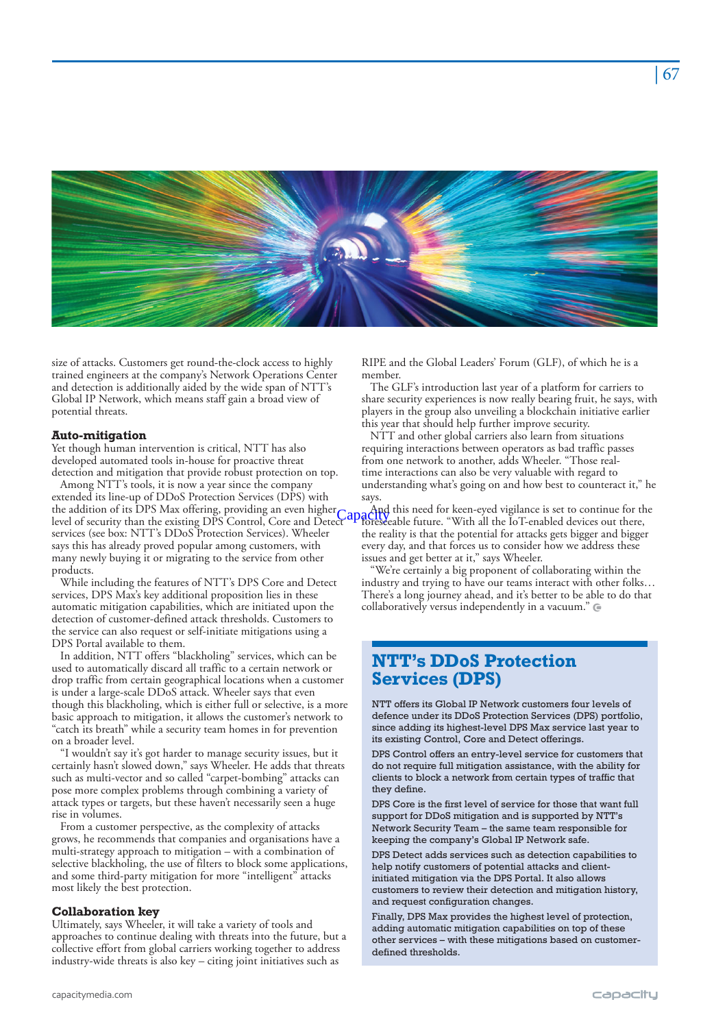

size of attacks. Customers get round-the-clock access to highly trained engineers at the company's Network Operations Center and detection is additionally aided by the wide span of NTT's Global IP Network, which means staff gain a broad view of potential threats.

#### **Auto-mitigation**

Yet though human intervention is critical, NTT has also developed automated tools in-house for proactive threat detection and mitigation that provide robust protection on top.

Among NTT's tools, it is now a year since the company extended its line-up of DDoS Protection Services (DPS) with the addition of its DPS Max offering, providing an even higher level of security than the existing DPS Control, Core and Detect services (see box: NTT's DDoS Protection Services). Wheeler says this has already proved popular among customers, with many newly buying it or migrating to the service from other products.

While including the features of NTT's DPS Core and Detect services, DPS Max's key additional proposition lies in these automatic mitigation capabilities, which are initiated upon the detection of customer-defined attack thresholds. Customers to the service can also request or self-initiate mitigations using a DPS Portal available to them.

In addition, NTT offers "blackholing" services, which can be used to automatically discard all traffic to a certain network or drop traffic from certain geographical locations when a customer is under a large-scale DDoS attack. Wheeler says that even though this blackholing, which is either full or selective, is a more basic approach to mitigation, it allows the customer's network to "catch its breath" while a security team homes in for prevention on a broader level.

"I wouldn't say it's got harder to manage security issues, but it certainly hasn't slowed down," says Wheeler. He adds that threats such as multi-vector and so called "carpet-bombing" attacks can pose more complex problems through combining a variety of attack types or targets, but these haven't necessarily seen a huge rise in volumes.

From a customer perspective, as the complexity of attacks grows, he recommends that companies and organisations have a multi-strategy approach to mitigation – with a combination of selective blackholing, the use of filters to block some applications, and some third-party mitigation for more "intelligent" attacks most likely the best protection.

#### **Collaboration key**

Ultimately, says Wheeler, it will take a variety of tools and approaches to continue dealing with threats into the future, but a collective effort from global carriers working together to address industry-wide threats is also key – citing joint initiatives such as

RIPE and the Global Leaders' Forum (GLF), of which he is a member.

The GLF's introduction last year of a platform for carriers to share security experiences is now really bearing fruit, he says, with players in the group also unveiling a blockchain initiative earlier this year that should help further improve security.

NTT and other global carriers also learn from situations requiring interactions between operators as bad traffic passes from one network to another, adds Wheeler. "Those realtime interactions can also be very valuable with regard to understanding what's going on and how best to counteract it," he says.

And this need for keen-eyed vigilance is set to continue for the Capactify this need for keen-eyed vigilance is set to continue for the<br>Capactify the future. "With all the IoT-enabled devices out there, the reality is that the potential for attacks gets bigger and bigger every day, and that forces us to consider how we address these issues and get better at it," says Wheeler.

We're certainly a big proponent of collaborating within the industry and trying to have our teams interact with other folks… There's a long journey ahead, and it's better to be able to do that collaboratively versus independently in a vacuum."

## **NTT's DDoS Protection Services (DPS)**

NTT offers its Global IP Network customers four levels of defence under its DDoS Protection Services (DPS) portfolio, since adding its highest-level DPS Max service last year to its existing Control, Core and Detect offerings.

DPS Control offers an entry-level service for customers that do not require full mitigation assistance, with the ability for clients to block a network from certain types of traffic that they define.

DPS Core is the first level of service for those that want full support for DDoS mitigation and is supported by NTT's Network Security Team – the same team responsible for keeping the company's Global IP Network safe.

DPS Detect adds services such as detection capabilities to help notify customers of potential attacks and clientinitiated mitigation via the DPS Portal. It also allows customers to review their detection and mitigation history, and request configuration changes.

Finally, DPS Max provides the highest level of protection, adding automatic mitigation capabilities on top of these other services – with these mitigations based on customerdefined thresholds.